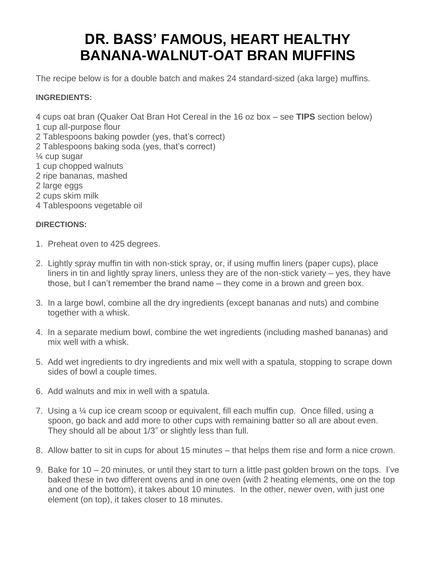# **DR. BASS' FAMOUS, HEART HEALTHY BANANA-WALNUT-OAT BRAN MUFFINS**

The recipe below is for a double batch and makes 24 standard-sized (aka large) muffins.

## **INGREDIENTS:**

4 cups oat bran (Quaker Oat Bran Hot Cereal in the 16 oz box – see **TIPS** section below)

1 cup all-purpose flour

2 Tablespoons baking powder (yes, that's correct)

2 Tablespoons baking soda (yes, that's correct)

¼ cup sugar

- 1 cup chopped walnuts
- 2 ripe bananas, mashed
- 2 large eggs
- 2 cups skim milk
- 4 Tablespoons vegetable oil

# **DIRECTIONS:**

- 1. Preheat oven to 425 degrees.
- 2. Lightly spray muffin tin with non-stick spray, or, if using muffin liners (paper cups), place liners in tin and lightly spray liners, unless they are of the non-stick variety – yes, they have those, but I can't remember the brand name – they come in a brown and green box.
- 3. In a large bowl, combine all the dry ingredients (except bananas and nuts) and combine together with a whisk.
- 4. In a separate medium bowl, combine the wet ingredients (including mashed bananas) and mix well with a whisk.
- 5. Add wet ingredients to dry ingredients and mix well with a spatula, stopping to scrape down sides of bowl a couple times.
- 6. Add walnuts and mix in well with a spatula.
- 7. Using a ¼ cup ice cream scoop or equivalent, fill each muffin cup. Once filled, using a spoon, go back and add more to other cups with remaining batter so all are about even. They should all be about 1/3" or slightly less than full.
- 8. Allow batter to sit in cups for about 15 minutes that helps them rise and form a nice crown.
- 9. Bake for 10 20 minutes, or until they start to turn a little past golden brown on the tops. I've baked these in two different ovens and in one oven (with 2 heating elements, one on the top and one of the bottom), it takes about 10 minutes. In the other, newer oven, with just one element (on top), it takes closer to 18 minutes.